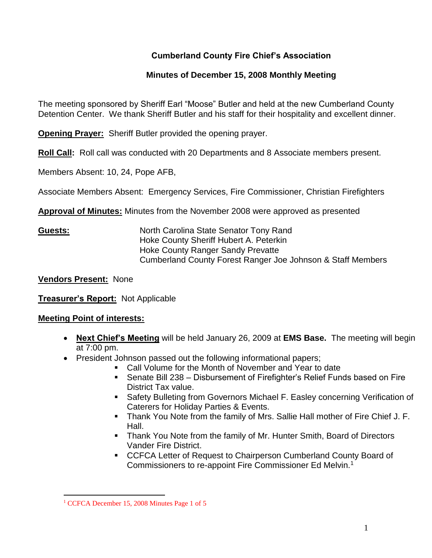# **Cumberland County Fire Chief's Association**

## **Minutes of December 15, 2008 Monthly Meeting**

The meeting sponsored by Sheriff Earl "Moose" Butler and held at the new Cumberland County Detention Center. We thank Sheriff Butler and his staff for their hospitality and excellent dinner.

**Opening Prayer:** Sheriff Butler provided the opening prayer.

**Roll Call:** Roll call was conducted with 20 Departments and 8 Associate members present.

Members Absent: 10, 24, Pope AFB,

Associate Members Absent: Emergency Services, Fire Commissioner, Christian Firefighters

**Approval of Minutes:** Minutes from the November 2008 were approved as presented

**Guests:** North Carolina State Senator Tony Rand Hoke County Sheriff Hubert A. Peterkin Hoke County Ranger Sandy Prevatte Cumberland County Forest Ranger Joe Johnson & Staff Members

**Vendors Present:** None

**Treasurer's Report:** Not Applicable

### **Meeting Point of interests:**

- **Next Chief's Meeting** will be held January 26, 2009 at **EMS Base.** The meeting will begin at 7:00 pm.
- President Johnson passed out the following informational papers;
	- Call Volume for the Month of November and Year to date
		- Senate Bill 238 Disbursement of Firefighter's Relief Funds based on Fire District Tax value.
		- Safety Bulleting from Governors Michael F. Easley concerning Verification of Caterers for Holiday Parties & Events.
		- Thank You Note from the family of Mrs. Sallie Hall mother of Fire Chief J. F. Hall.
		- **Thank You Note from the family of Mr. Hunter Smith, Board of Directors** Vander Fire District.
		- CCFCA Letter of Request to Chairperson Cumberland County Board of Commissioners to re-appoint Fire Commissioner Ed Melvin.<sup>1</sup>

<sup>&</sup>lt;sup>1</sup> CCFCA December 15, 2008 Minutes Page 1 of 5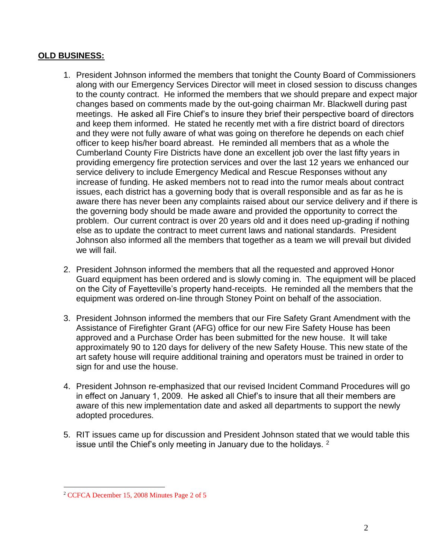#### **OLD BUSINESS:**

- 1. President Johnson informed the members that tonight the County Board of Commissioners along with our Emergency Services Director will meet in closed session to discuss changes to the county contract. He informed the members that we should prepare and expect major changes based on comments made by the out-going chairman Mr. Blackwell during past meetings. He asked all Fire Chief's to insure they brief their perspective board of directors and keep them informed. He stated he recently met with a fire district board of directors and they were not fully aware of what was going on therefore he depends on each chief officer to keep his/her board abreast. He reminded all members that as a whole the Cumberland County Fire Districts have done an excellent job over the last fifty years in providing emergency fire protection services and over the last 12 years we enhanced our service delivery to include Emergency Medical and Rescue Responses without any increase of funding. He asked members not to read into the rumor meals about contract issues, each district has a governing body that is overall responsible and as far as he is aware there has never been any complaints raised about our service delivery and if there is the governing body should be made aware and provided the opportunity to correct the problem. Our current contract is over 20 years old and it does need up-grading if nothing else as to update the contract to meet current laws and national standards. President Johnson also informed all the members that together as a team we will prevail but divided we will fail.
- 2. President Johnson informed the members that all the requested and approved Honor Guard equipment has been ordered and is slowly coming in. The equipment will be placed on the City of Fayetteville's property hand-receipts. He reminded all the members that the equipment was ordered on-line through Stoney Point on behalf of the association.
- 3. President Johnson informed the members that our Fire Safety Grant Amendment with the Assistance of Firefighter Grant (AFG) office for our new Fire Safety House has been approved and a Purchase Order has been submitted for the new house. It will take approximately 90 to 120 days for delivery of the new Safety House. This new state of the art safety house will require additional training and operators must be trained in order to sign for and use the house.
- 4. President Johnson re-emphasized that our revised Incident Command Procedures will go in effect on January 1, 2009. He asked all Chief's to insure that all their members are aware of this new implementation date and asked all departments to support the newly adopted procedures.
- 5. RIT issues came up for discussion and President Johnson stated that we would table this issue until the Chief's only meeting in January due to the holidays.  $2^{\circ}$

<sup>2</sup> CCFCA December 15, 2008 Minutes Page 2 of 5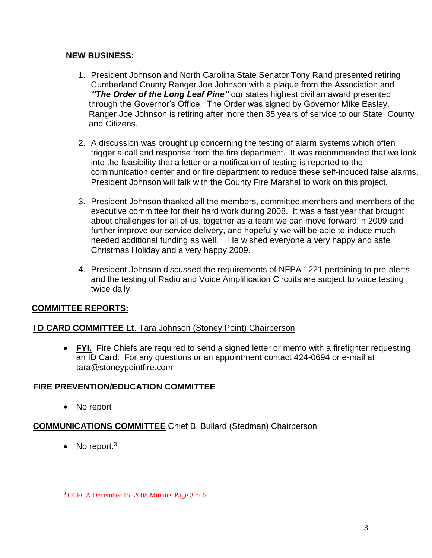### **NEW BUSINESS:**

- 1. President Johnson and North Carolina State Senator Tony Rand presented retiring Cumberland County Ranger Joe Johnson with a plaque from the Association and *"The Order of the Long Leaf Pine"* our states highest civilian award presented through the Governor's Office. The Order was signed by Governor Mike Easley. Ranger Joe Johnson is retiring after more then 35 years of service to our State, County and Citizens.
- 2. A discussion was brought up concerning the testing of alarm systems which often trigger a call and response from the fire department. It was recommended that we look into the feasibility that a letter or a notification of testing is reported to the communication center and or fire department to reduce these self-induced false alarms. President Johnson will talk with the County Fire Marshal to work on this project.
- 3. President Johnson thanked all the members, committee members and members of the executive committee for their hard work during 2008. It was a fast year that brought about challenges for all of us, together as a team we can move forward in 2009 and further improve our service delivery, and hopefully we will be able to induce much needed additional funding as well. He wished everyone a very happy and safe Christmas Holiday and a very happy 2009.
- 4. President Johnson discussed the requirements of NFPA 1221 pertaining to pre-alerts and the testing of Radio and Voice Amplification Circuits are subject to voice testing twice daily.

# **COMMITTEE REPORTS:**

# **I D CARD COMMITTEE Lt**. Tara Johnson (Stoney Point) Chairperson

• FYI. Fire Chiefs are required to send a signed letter or memo with a firefighter requesting an ID Card. For any questions or an appointment contact 424-0694 or e-mail at [tara@stoneypointfire.com](mailto:tara@stoneypointfire.com)

# **FIRE PREVENTION/EDUCATION COMMITTEE**

• No report

# **COMMUNICATIONS COMMITTEE** Chief B. Bullard (Stedman) Chairperson

• No report. $3$ 

<sup>3</sup> CCFCA December 15, 2008 Minutes Page 3 of 5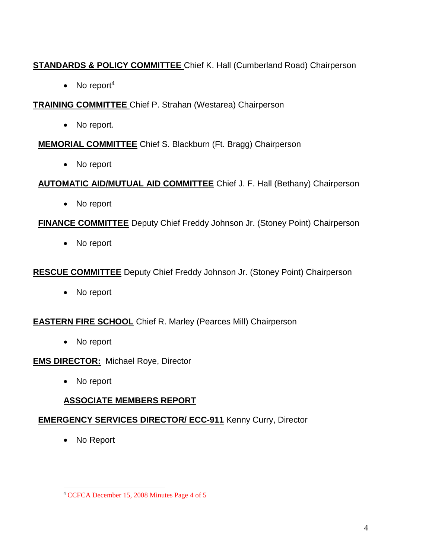# **STANDARDS & POLICY COMMITTEE** Chief K. Hall (Cumberland Road) Chairperson

• No report<sup>4</sup>

**TRAINING COMMITTEE** Chief P. Strahan (Westarea) Chairperson

• No report.

**MEMORIAL COMMITTEE** Chief S. Blackburn (Ft. Bragg) Chairperson

• No report

**AUTOMATIC AID/MUTUAL AID COMMITTEE** Chief J. F. Hall (Bethany) Chairperson

• No report

**FINANCE COMMITTEE** Deputy Chief Freddy Johnson Jr. (Stoney Point) Chairperson

• No report

**RESCUE COMMITTEE** Deputy Chief Freddy Johnson Jr. (Stoney Point) Chairperson

• No report

**EASTERN FIRE SCHOOL** Chief R. Marley (Pearces Mill) Chairperson

• No report

**EMS DIRECTOR:** Michael Roye, Director

• No report

# **ASSOCIATE MEMBERS REPORT**

# **EMERGENCY SERVICES DIRECTOR/ ECC-911** Kenny Curry, Director

No Report

<sup>4</sup> CCFCA December 15, 2008 Minutes Page 4 of 5